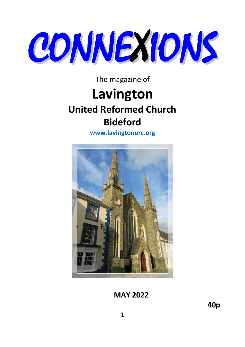

The magazine of

# **Lavington United Reformed Church Bideford**

**[www.lavingtonurc.org](http://www.lavingtonurc.org/)**



 **MAY 2022**

**40p**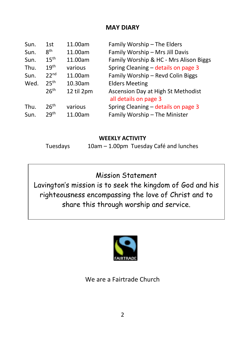## **MAY DIARY**

| Sun. | 1st              | 11.00am    | Family Worship - The Elders                                 |
|------|------------------|------------|-------------------------------------------------------------|
| Sun. | 8 <sup>th</sup>  | 11.00am    | Family Worship - Mrs Jill Davis                             |
| Sun. | 15 <sup>th</sup> | 11.00am    | Family Worship & HC - Mrs Alison Biggs                      |
| Thu. | 19 <sup>th</sup> | various    | Spring Cleaning - details on page 3                         |
| Sun. | 22 <sup>nd</sup> | 11.00am    | Family Worship - Revd Colin Biggs                           |
| Wed. | 25 <sup>th</sup> | 10.30am    | <b>Elders Meeting</b>                                       |
|      | 26 <sup>th</sup> | 12 til 2pm | Ascension Day at High St Methodist<br>all details on page 3 |
| Thu. | 26 <sup>th</sup> | various    | Spring Cleaning - details on page 3                         |
| Sun. | 29 <sup>th</sup> | 11.00am    | Family Worship - The Minister                               |

#### **WEEKLY ACTIVITY**

Tuesdays 10am – 1.00pm Tuesday Café and lunches

Mission Statement

Lavington's mission is to seek the kingdom of God and his righteousness encompassing the love of Christ and to share this through worship and service.



We are a Fairtrade Church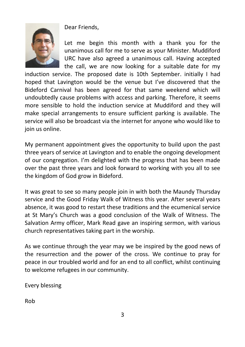Dear Friends,



Let me begin this month with a thank you for the unanimous call for me to serve as your Minister. Muddiford URC have also agreed a unanimous call. Having accepted the call, we are now looking for a suitable date for my

induction service. The proposed date is 10th September. initially I had hoped that Lavington would be the venue but I've discovered that the Bideford Carnival has been agreed for that same weekend which will undoubtedly cause problems with access and parking. Therefore, it seems more sensible to hold the induction service at Muddiford and they will make special arrangements to ensure sufficient parking is available. The service will also be broadcast via the internet for anyone who would like to join us online.

My permanent appointment gives the opportunity to build upon the past three years of service at Lavington and to enable the ongoing development of our congregation. I'm delighted with the progress that has been made over the past three years and look forward to working with you all to see the kingdom of God grow in Bideford.

It was great to see so many people join in with both the Maundy Thursday service and the Good Friday Walk of Witness this year. After several years absence, it was good to restart these traditions and the ecumenical service at St Mary's Church was a good conclusion of the Walk of Witness. The Salvation Army officer, Mark Read gave an inspiring sermon, with various church representatives taking part in the worship.

As we continue through the year may we be inspired by the good news of the resurrection and the power of the cross. We continue to pray for peace in our troubled world and for an end to all conflict, whilst continuing to welcome refugees in our community.

Every blessing

Rob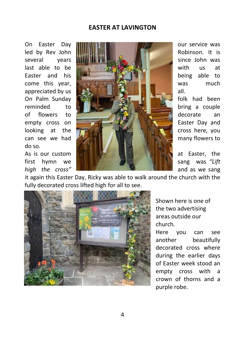#### **EASTER AT LAVINGTON**

do so.



it again this Easter Day, Ricky was able to walk around the church with the fully decorated cross lifted high for all to see.



Shown here is one of the two advertising areas outside our church.

Here you can see another beautifully decorated cross where during the earlier days of Easter week stood an empty cross with a crown of thorns and a purple robe.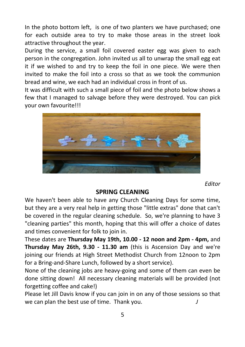In the photo bottom left, is one of two planters we have purchased; one for each outside area to try to make those areas in the street look attractive throughout the year.

During the service, a small foil covered easter egg was given to each person in the congregation. John invited us all to unwrap the small egg eat it if we wished to and try to keep the foil in one piece. We were then invited to make the foil into a cross so that as we took the communion bread and wine, we each had an individual cross in front of us.

It was difficult with such a small piece of foil and the photo below shows a few that I managed to salvage before they were destroyed. You can pick your own favourite!!!



*Editor*

#### **SPRING CLEANING**

We haven't been able to have any Church Cleaning Days for some time, but they are a very real help in getting those "little extras" done that can't be covered in the regular cleaning schedule. So, we're planning to have 3 "cleaning parties" this month, hoping that this will offer a choice of dates and times convenient for folk to join in.

These dates are **Thursday May 19th, 10.00 - 12 noon and 2pm - 4pm,** and **Thursday May 26th, 9.30 - 11.30 am** (this is Ascension Day and we're joining our friends at High Street Methodist Church from 12noon to 2pm for a Bring-and-Share Lunch, followed by a short service).

None of the cleaning jobs are heavy-going and some of them can even be done sitting down! All necessary cleaning materials will be provided (not forgetting coffee and cake!)

Please let Jill Davis know if you can join in on any of those sessions so that we can plan the best use of time. Thank you. *J*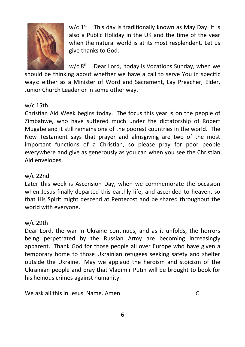

w/c  $1^{st}$  This day is traditionally known as May Day. It is also a Public Holiday in the UK and the time of the year when the natural world is at its most resplendent. Let us give thanks to God.

 $w/c$   $8<sup>th</sup>$ Dear Lord, today is Vocations Sunday, when we

should be thinking about whether we have a call to serve You in specific ways: either as a Minister of Word and Sacrament, Lay Preacher, Elder, Junior Church Leader or in some other way.

#### w/c 15th

Christian Aid Week begins today. The focus this year is on the people of Zimbabwe, who have suffered much under the dictatorship of Robert Mugabe and it still remains one of the poorest countries in the world. The New Testament says that prayer and almsgiving are two of the most important functions of a Christian, so please pray for poor people everywhere and give as generously as you can when you see the Christian Aid envelopes.

#### w/c 22nd

Later this week is Ascension Day, when we commemorate the occasion when Jesus finally departed this earthly life, and ascended to heaven, so that His Spirit might descend at Pentecost and be shared throughout the world with everyone.

#### w/c 29th

Dear Lord, the war in Ukraine continues, and as it unfolds, the horrors being perpetrated by the Russian Army are becoming increasingly apparent. Thank God for those people all over Europe who have given a temporary home to those Ukrainian refugees seeking safety and shelter outside the Ukraine. May we applaud the heroism and stoicism of the Ukrainian people and pray that Vladimir Putin will be brought to book for his heinous crimes against humanity.

We ask all this in Jesus' Name. Amen *C*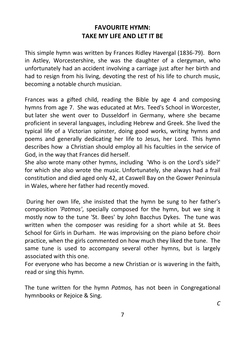# **FAVOURITE HYMN: TAKE MY LIFE AND LET IT BE**

This simple hymn was written by Frances Ridley Havergal (1836-79). Born in Astley, Worcestershire, she was the daughter of a clergyman, who unfortunately had an accident involving a carriage just after her birth and had to resign from his living, devoting the rest of his life to church music, becoming a notable church musician.

Frances was a gifted child, reading the Bible by age 4 and composing hymns from age 7. She was educated at Mrs. Teed's School in Worcester, but later she went over to Dusseldorf in Germany, where she became proficient in several languages, including Hebrew and Greek. She lived the typical life of a Victorian spinster, doing good works, writing hymns and poems and generally dedicating her life to Jesus, her Lord. This hymn describes how a Christian should employ all his faculties in the service of God, in the way that Frances did herself.

She also wrote many other hymns, including 'Who is on the Lord's side?' for which she also wrote the music. Unfortunately, she always had a frail constitution and died aged only 42, at Caswell Bay on the Gower Peninsula in Wales, where her father had recently moved.

During her own life, she insisted that the hymn be sung to her father's composition *'Patmos'*, specially composed for the hymn, but we sing it mostly now to the tune 'St. Bees' by John Bacchus Dykes. The tune was written when the composer was residing for a short while at St. Bees School for Girls in Durham. He was improvising on the piano before choir practice, when the girls commented on how much they liked the tune. The same tune is used to accompany several other hymns, but is largely associated with this one.

For everyone who has become a new Christian or is wavering in the faith, read or sing this hymn.

The tune written for the hymn *Patmos,* has not been in Congregational hymnbooks or Rejoice & Sing.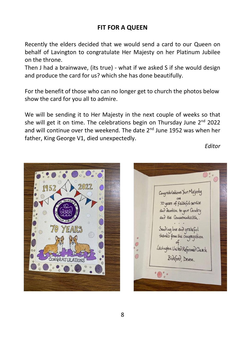## **FIT FOR A QUEEN**

Recently the elders decided that we would send a card to our Queen on behalf of Lavington to congratulate Her Majesty on her Platinum Jubilee on the throne.

Then J had a brainwave, (its true) - what if we asked S if she would design and produce the card for us? which she has done beautifully.

For the benefit of those who can no longer get to church the photos below show the card for you all to admire.

We will be sending it to Her Majesty in the next couple of weeks so that she will get it on time. The celebrations begin on Thursday June  $2^{nd}$  2022 and will continue over the weekend. The date 2<sup>nd</sup> June 1952 was when her father, King George V1, died unexpectedly.

*Editor*



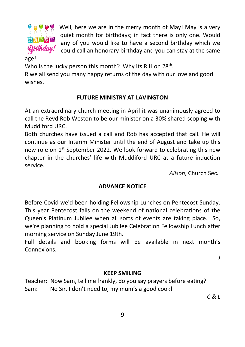

Well, here we are in the merry month of May! May is a very quiet month for birthdays; in fact there is only one. Would any of you would like to have a second birthday which we could call an honorary birthday and you can stay at the same

age!

Who is the lucky person this month? Why its R H on 28<sup>th</sup>.

R we all send you many happy returns of the day with our love and good wishes.

#### **FUTURE MINISTRY AT LAVINGTON**

At an extraordinary church meeting in April it was unanimously agreed to call the Revd Rob Weston to be our minister on a 30% shared scoping with Muddiford URC.

Both churches have issued a call and Rob has accepted that call. He will continue as our Interim Minister until the end of August and take up this new role on 1<sup>st</sup> September 2022. We look forward to celebrating this new chapter in the churches' life with Muddiford URC at a future induction service.

 *Alison*, Church Sec.

#### **ADVANCE NOTICE**

Before Covid we'd been holding Fellowship Lunches on Pentecost Sunday. This year Pentecost falls on the weekend of national celebrations of the Queen's Platinum Jubilee when all sorts of events are taking place. So, we're planning to hold a special Jubilee Celebration Fellowship Lunch after morning service on Sunday June 19th.

Full details and booking forms will be available in next month's Connexions.

*J*

#### **KEEP SMILING**

Teacher: Now Sam, tell me frankly, do you say prayers before eating? Sam: No Sir. I don't need to, my mum's a good cook!

*C & L*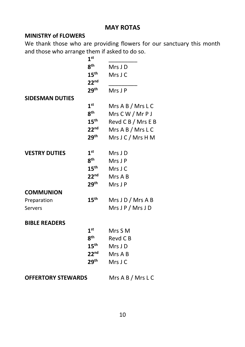### **MAY ROTAS**

#### **MINISTRY of FLOWERS**

We thank those who are providing flowers for our sanctuary this month and those who arrange them if asked to do so.

|                           | 1 <sup>st</sup>  |                    |
|---------------------------|------------------|--------------------|
|                           | $8^{\sf th}$     | Mrs J D            |
|                           | $15^{\text{th}}$ | Mrs J C            |
|                           | 22 <sup>nd</sup> |                    |
|                           | $29^{\sf th}$    | Mrs J P            |
| <b>SIDESMAN DUTIES</b>    |                  |                    |
|                           | 1 <sup>st</sup>  | Mrs A B / Mrs L C  |
|                           | 8 <sup>th</sup>  | Mrs C W / Mr P J   |
|                           | $15^{\text{th}}$ | Revd C B / Mrs E B |
|                           | 22 <sup>nd</sup> | Mrs A B / Mrs L C  |
|                           | $29^{\sf th}$    | Mrs J C / Mrs H M  |
| <b>VESTRY DUTIES</b>      | 1 <sup>st</sup>  | Mrs J D            |
|                           | $8^{\sf th}$     | Mrs J P            |
|                           | $15^{\text{th}}$ | Mrs J C            |
|                           | 22 <sup>nd</sup> | Mrs A B            |
|                           | $29^{\text{th}}$ | Mrs J P            |
| <b>COMMUNION</b>          |                  |                    |
| Preparation               | 15 <sup>th</sup> | Mrs J D / Mrs A B  |
| Servers                   |                  | Mrs J P / Mrs J D  |
|                           |                  |                    |
| <b>BIBLE READERS</b>      |                  |                    |
|                           | 1 <sup>st</sup>  | Mrs S M            |
|                           | 8 <sup>th</sup>  | Revd C B           |
|                           | $15^{\text{th}}$ | Mrs J D            |
|                           | $22^{nd}$        | Mrs A B            |
|                           | $29^{\sf th}$    | Mrs J C            |
| <b>OFFERTORY STEWARDS</b> |                  | Mrs A B / Mrs L C  |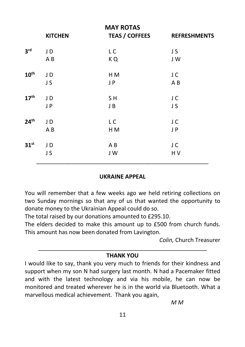|                  | <b>KITCHEN</b> | <b>MAY ROTAS</b><br><b>TEAS / COFFEES</b> | <b>REFRESHMENTS</b> |
|------------------|----------------|-------------------------------------------|---------------------|
|                  |                |                                           |                     |
| 3 <sup>rd</sup>  | JD             | L C                                       | J S                 |
|                  | AB             | KQ                                        | JW                  |
| 10 <sup>th</sup> | JD             | H M                                       | J C                 |
|                  | JS             | JP                                        | AB                  |
| 17 <sup>th</sup> | JD             | SH                                        | J C                 |
|                  | JP             | J B                                       | J S                 |
| 24 <sup>th</sup> | JD             | LC                                        | J C                 |
|                  | A B            | H <sub>M</sub>                            | J P                 |
| 31 <sup>st</sup> | JD             | ΑB                                        | J C                 |
|                  | JS             | J W                                       | H V                 |
|                  |                |                                           |                     |

#### **UKRAINE APPEAL**

You will remember that a few weeks ago we held retiring collections on two Sunday mornings so that any of us that wanted the opportunity to donate money to the Ukrainian Appeal could do so.

The total raised by our donations amounted to £295.10.

The elders decided to make this amount up to £500 from church funds. This amount has now been donated from Lavington.

*Colin,* Church Treasurer

#### \_\_\_\_\_\_\_\_\_\_\_\_\_\_\_\_\_\_\_\_\_\_\_\_\_\_\_\_\_\_\_\_\_\_\_\_\_\_\_\_\_\_\_\_\_\_\_\_\_\_\_\_\_ **THANK YOU**

I would like to say, thank you very much to friends for their kindness and support when my son N had surgery last month. N had a Pacemaker fitted and with the latest technology and via his mobile, he can now be monitored and treated wherever he is in the world via Bluetooth. What a marvellous medical achievement. Thank you again,

*M M*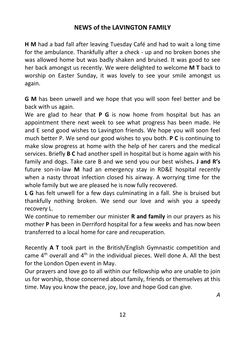# **NEWS of the LAVINGTON FAMILY**

**H M** had a bad fall after leaving Tuesday Café and had to wait a long time for the ambulance. Thankfully after a check - up and no broken bones she was allowed home but was badly shaken and bruised. It was good to see her back amongst us recently. We were delighted to welcome **M T** back to worship on Easter Sunday, it was lovely to see your smile amongst us again.

**G M** has been unwell and we hope that you will soon feel better and be back with us again.

We are glad to hear that **P G** is now home from hospital but has an appointment there next week to see what progress has been made. He and E send good wishes to Lavington friends. We hope you will soon feel much better P. We send our good wishes to you both. **P C** is continuing to make slow progress at home with the help of her carers and the medical services. Briefly **B C** had another spell in hospital but is home again with his family and dogs. Take care B and we send you our best wishes**. J and R's**  future son-in-law **M** had an emergency stay in RD&E hospital recently when a nasty throat infection closed his airway. A worrying time for the whole family but we are pleased he is now fully recovered.

**L G** has felt unwell for a few days culminating in a fall. She is bruised but thankfully nothing broken. We send our love and wish you a speedy recovery L.

We continue to remember our minister **R and family** in our prayers as his mother **P** has been in Derriford hospital for a few weeks and has now been transferred to a local home for care and recuperation.

Recently **A T** took part in the British/English Gymnastic competition and came  $4<sup>th</sup>$  overall and  $4<sup>th</sup>$  in the individual pieces. Well done A. All the best for the London Open event in May.

Our prayers and love go to all within our fellowship who are unable to join us for worship, those concerned about family, friends or themselves at this time. May you know the peace, joy, love and hope God can give.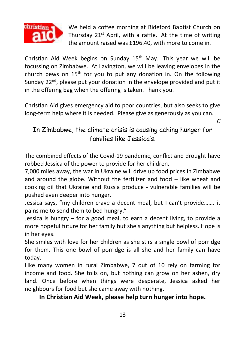

We held a coffee morning at Bideford Baptist Church on Thursday 21<sup>st</sup> April, with a raffle. At the time of writing the amount raised was £196.40, with more to come in.

*C*

Christian Aid Week begins on Sunday  $15<sup>th</sup>$  May. This year we will be focussing on Zimbabwe. At Lavington, we will be leaving envelopes in the church pews on  $15<sup>th</sup>$  for you to put any donation in. On the following Sunday 22<sup>nd</sup>, please put your donation in the envelope provided and put it in the offering bag when the offering is taken. Thank you.

Christian Aid gives emergency aid to poor countries, but also seeks to give long-term help where it is needed. Please give as generously as you can.

In Zimbabwe, the climate crisis is causing aching hunger for families like Jessica's.

The combined effects of the Covid-19 pandemic, conflict and drought have robbed Jessica of the power to provide for her children.

7,000 miles away, the war in Ukraine will drive up food prices in Zimbabwe and around the globe. Without the fertilizer and food – like wheat and cooking oil that Ukraine and Russia produce - vulnerable families will be pushed even deeper into hunger.

Jessica says, "my children crave a decent meal, but I can't provide……. it pains me to send them to bed hungry."

Jessica is hungry – for a good meal, to earn a decent living, to provide a more hopeful future for her family but she's anything but helpless. Hope is in her eyes.

She smiles with love for her children as she stirs a single bowl of porridge for them. This one bowl of porridge is all she and her family can have today.

Like many women in rural Zimbabwe, 7 out of 10 rely on farming for income and food. She toils on, but nothing can grow on her ashen, dry land. Once before when things were desperate, Jessica asked her neighbours for food but she came away with nothing.

# **In Christian Aid Week, please help turn hunger into hope.**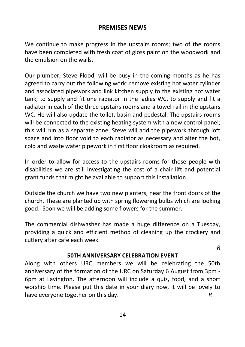#### **PREMISES NEWS**

We continue to make progress in the upstairs rooms; two of the rooms have been completed with fresh coat of gloss paint on the woodwork and the emulsion on the walls.

Our plumber, Steve Flood, will be busy in the coming months as he has agreed to carry out the following work: remove existing hot water cylinder and associated pipework and link kitchen supply to the existing hot water tank, to supply and fit one radiator in the ladies WC, to supply and fit a radiator in each of the three upstairs rooms and a towel rail in the upstairs WC. He will also update the toilet, basin and pedestal. The upstairs rooms will be connected to the existing heating system with a new control panel; this will run as a separate zone. Steve will add the pipework through loft space and into floor void to each radiator as necessary and alter the hot, cold and waste water pipework in first floor cloakroom as required.

In order to allow for access to the upstairs rooms for those people with disabilities we are still investigating the cost of a chair lift and potential grant funds that might be available to support this installation.

Outside the church we have two new planters, near the front doors of the church. These are planted up with spring flowering bulbs which are looking good. Soon we will be adding some flowers for the summer.

The commercial dishwasher has made a huge difference on a Tuesday, providing a quick and efficient method of cleaning up the crockery and cutlery after cafe each week.

*R*

#### **50TH ANNIVERSARY CELEBRATION EVENT**

Along with others URC members we will be celebrating the 50th anniversary of the formation of the URC on Saturday 6 August from 3pm - 6pm at Lavington. The afternoon will include a quiz, food, and a short worship time. Please put this date in your diary now, it will be lovely to have everyone together on this day. **R**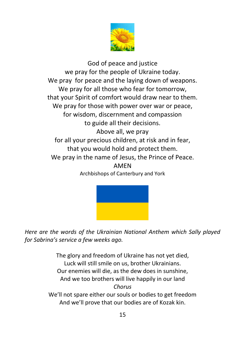

God of peace and justice we pray for the people of Ukraine today. We pray for peace and the laying down of weapons. We pray for all those who fear for tomorrow, that your Spirit of comfort would draw near to them. We pray for those with power over war or peace, for wisdom, discernment and compassion to guide all their decisions. Above all, we pray for all your precious children, at risk and in fear, that you would hold and protect them. We pray in the name of Jesus, the Prince of Peace. AMEN Archbishops of Canterbury and York



*Here are the words of the Ukrainian National Anthem which Sally played for Sabrina's service a few weeks ago.*

> The glory and freedom of Ukraine has not yet died, Luck will still smile on us, brother Ukrainians. Our enemies will die, as the dew does in sunshine, And we too brothers will live happily in our land *Chorus* We'll not spare either our souls or bodies to get freedom And we'll prove that our bodies are of Kozak kin.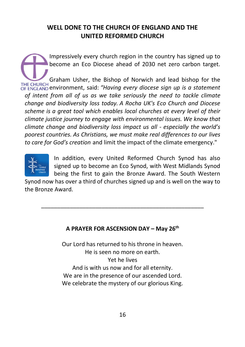# **WELL DONE TO THE CHURCH OF ENGLAND AND THE UNITED REFORMED CHURCH**

Impressively every church region in the country has signed up to become an Eco Diocese ahead of 2030 net zero carbon target. Graham Usher, the Bishop of Norwich and lead bishop for the THE CHURCH environment, said: *"Having every diocese sign up is a statement of intent from all of us as we take seriously the need to tackle climate change and biodiversity loss today. A Rocha UK's Eco Church and Diocese scheme is a great tool which enables local churches at every level of their climate justice journey to engage with environmental issues. We know that climate change and biodiversity loss impact us all - especially the world's poorest countries. As Christians, we must make real differences to our lives to care for God's creation* and limit the impact of the climate emergency."



In addition, every United Reformed Church Synod has also signed up to become an Eco Synod, with West Midlands Synod being the first to gain the Bronze Award. The South Western

Synod now has over a third of churches signed up and is well on the way to the Bronze Award.

\_\_\_\_\_\_\_\_\_\_\_\_\_\_\_\_\_\_\_\_\_\_\_\_\_\_\_\_\_\_\_\_\_\_\_\_\_\_\_\_\_\_\_\_\_\_\_\_\_\_\_

#### **A PRAYER FOR ASCENSION DAY – May 26th**

Our Lord has returned to his throne in heaven. He is seen no more on earth. Yet he lives And is with us now and for all eternity. We are in the presence of our ascended Lord. We celebrate the mystery of our glorious King.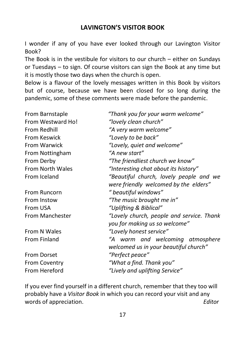# **LAVINGTON'S VISITOR BOOK**

I wonder if any of you have ever looked through our Lavington Visitor Book?

The Book is in the vestibule for visitors to our church – either on Sundays or Tuesdays – to sign. Of course visitors can sign the Book at any time but it is mostly those two days when the church is open.

Below is a flavour of the lovely messages written in this Book by visitors but of course, because we have been closed for so long during the pandemic, some of these comments were made before the pandemic.

| From Barnstaple         | "Thank you for your warm welcome"         |
|-------------------------|-------------------------------------------|
| From Westward Ho!       | "lovely clean church"                     |
| From Redhill            | "A very warm welcome"                     |
| <b>From Keswick</b>     | "Lovely to be back"                       |
| <b>From Warwick</b>     | "Lovely, quiet and welcome"               |
| From Nottingham         | "A new start"                             |
| From Derby              | "The friendliest church we know"          |
| <b>From North Wales</b> | "Interesting chat about its history"      |
| From Iceland            | "Beautiful church, lovely people and we   |
|                         | were friendly welcomed by the elders"     |
| From Runcorn            | " beautiful windows"                      |
| From Instow             | "The music brought me in"                 |
| From USA                | "Uplifting & Biblical"                    |
| From Manchester         | "Lovely church, people and service. Thank |
|                         | you for making us so welcome"             |
| From N Wales            | "Lovely honest service"                   |
| From Finland            | "A warm and welcoming atmosphere          |
|                         | welcomed us in your beautiful church"     |
| <b>From Dorset</b>      | "Perfect peace"                           |
| <b>From Coventry</b>    | "What a find. Thank you"                  |
| From Hereford           | "Lively and uplifting Service"            |

If you ever find yourself in a different church, remember that they too will probably have a *Visitor Book* in which you can record your visit and any words of appreciation. *Editor*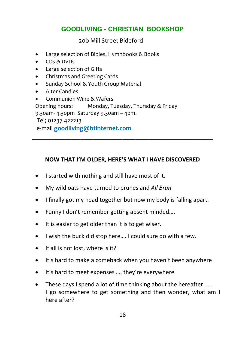# **GOODLIVING - CHRISTIAN BOOKSHOP**

20b Mill Street Bideford

- Large selection of Bibles, Hymnbooks & Books
- CDs & DVDs
- Large selection of Gifts
- Christmas and Greeting Cards
- Sunday School & Youth Group Material
- Alter Candles
- Communion Wine & Wafers

Opening hours: Monday, Tuesday, Thursday & Friday

9.30am- 4.30pm Saturday 9.30am – 4pm.

Tel; 01237 422213

e-mail **goodliving@btinternet.com**

#### **NOW THAT I'M OLDER, HERE'S WHAT I HAVE DISCOVERED**

\_\_\_\_\_\_\_\_\_\_\_\_\_\_\_\_\_\_\_\_\_\_\_\_\_\_\_\_\_\_\_\_\_\_\_\_\_\_\_\_\_\_\_\_\_\_\_\_\_\_\_\_\_\_\_\_

- I started with nothing and still have most of it.
- My wild oats have turned to prunes and *All Bran*
- I finally got my head together but now my body is falling apart.
- Funny I don't remember getting absent minded….
- It is easier to get older than it is to get wiser.
- I wish the buck did stop here…. I could sure do with a few.
- If all is not lost, where is it?
- It's hard to make a comeback when you haven't been anywhere
- It's hard to meet expenses …. they're everywhere
- These days I spend a lot of time thinking about the hereafter ..... I go somewhere to get something and then wonder, what am I here after?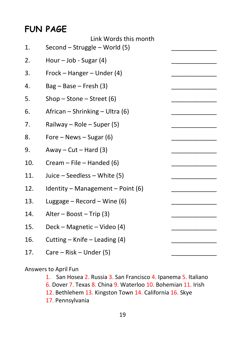# **FUN PAGE**

| 1.  | Link Words this month<br>Second - Struggle - World (5) |  |
|-----|--------------------------------------------------------|--|
| 2.  | Hour $-$ Job - Sugar (4)                               |  |
| 3.  | Frock – Hanger – Under (4)                             |  |
| 4.  | $Bag - Base - Fresh (3)$                               |  |
| 5.  | Shop – Stone – Street $(6)$                            |  |
| 6.  | African – Shrinking – Ultra (6)                        |  |
| 7.  | Railway - Role - Super (5)                             |  |
| 8.  | Fore $-$ News $-$ Sugar (6)                            |  |
| 9.  | Away – $Cut$ – Hard (3)                                |  |
| 10. | Cream $-$ File $-$ Handed (6)                          |  |
| 11. | Juice – Seedless – White (5)                           |  |
| 12. | Identity - Management - Point $(6)$                    |  |
| 13. | Luggage $-$ Record $-$ Wine (6)                        |  |
| 14. | Alter - Boost - Trip (3)                               |  |
| 15. | Deck - Magnetic - Video (4)                            |  |
| 16. | Cutting - Knife - Leading (4)                          |  |
| 17. | Care – Risk – Under (5)                                |  |

Answers to April Fun

1. San Hosea 2. Russia 3. San Francisco 4. Ipanema 5. Italiano 6. Dover 7. Texas 8. China 9. Waterloo 10. Bohemian 11. Irish

- 12. Bethlehem 13. Kingston Town 14. California 16. Skye
- 17. Pennsylvania